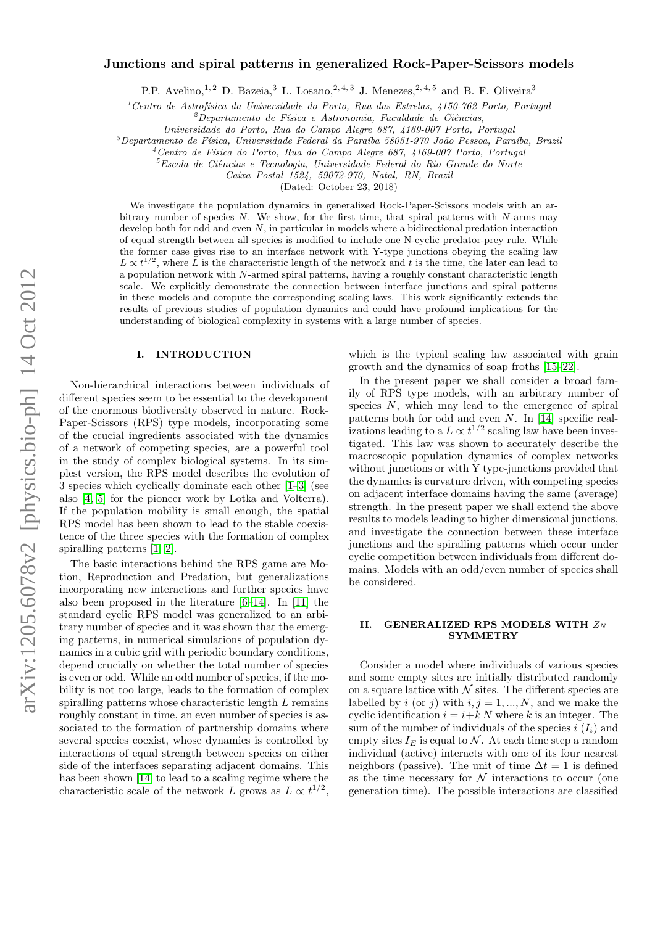# arXiv:1205.6078v2 [physics.bio-ph] 14 Oct 2012 arXiv:1205.6078v2 [physics.bio-ph] 14 Oct 2012

# Junctions and spiral patterns in generalized Rock-Paper-Scissors models

P.P. Avelino,<sup>1, 2</sup> D. Bazeia,<sup>3</sup> L. Losano,<sup>2, 4, 3</sup> J. Menezes,<sup>2, 4, 5</sup> and B. F. Oliveira<sup>3</sup>

 $1$ Centro de Astrofísica da Universidade do Porto, Rua das Estrelas, 4150-762 Porto, Portugal

 $^{2}$ Departamento de Física e Astronomia, Faculdade de Ciências,

Universidade do Porto, Rua do Campo Alegre 687, 4169-007 Porto, Portugal

 $3$ Departamento de Física, Universidade Federal da Paraíba 58051-970 João Pessoa, Paraíba, Brazil

 $4$ Centro de Física do Porto, Rua do Campo Alegre 687, 4169-007 Porto, Portugal

 ${}^{5}$ Escola de Ciências e Tecnologia, Universidade Federal do Rio Grande do Norte

Caixa Postal 1524, 59072-970, Natal, RN, Brazil

(Dated: October 23, 2018)

We investigate the population dynamics in generalized Rock-Paper-Scissors models with an arbitrary number of species  $N$ . We show, for the first time, that spiral patterns with  $N$ -arms may develop both for odd and even  $N$ , in particular in models where a bidirectional predation interaction of equal strength between all species is modified to include one N-cyclic predator-prey rule. While the former case gives rise to an interface network with Y-type junctions obeying the scaling law  $L \propto t^{1/2}$ , where L is the characteristic length of the network and t is the time, the later can lead to a population network with N-armed spiral patterns, having a roughly constant characteristic length scale. We explicitly demonstrate the connection between interface junctions and spiral patterns in these models and compute the corresponding scaling laws. This work significantly extends the results of previous studies of population dynamics and could have profound implications for the understanding of biological complexity in systems with a large number of species.

# I. INTRODUCTION

Non-hierarchical interactions between individuals of different species seem to be essential to the development of the enormous biodiversity observed in nature. Rock-Paper-Scissors (RPS) type models, incorporating some of the crucial ingredients associated with the dynamics of a network of competing species, are a powerful tool in the study of complex biological systems. In its simplest version, the RPS model describes the evolution of 3 species which cyclically dominate each other [\[1](#page-4-0)[–3\]](#page-4-1) (see also [\[4,](#page-4-2) [5\]](#page-4-3) for the pioneer work by Lotka and Volterra). If the population mobility is small enough, the spatial RPS model has been shown to lead to the stable coexistence of the three species with the formation of complex spiralling patterns [\[1,](#page-4-0) [2\]](#page-4-4).

The basic interactions behind the RPS game are Motion, Reproduction and Predation, but generalizations incorporating new interactions and further species have also been proposed in the literature [\[6–](#page-4-5)[14\]](#page-4-6). In [\[11\]](#page-4-7) the standard cyclic RPS model was generalized to an arbitrary number of species and it was shown that the emerging patterns, in numerical simulations of population dynamics in a cubic grid with periodic boundary conditions, depend crucially on whether the total number of species is even or odd. While an odd number of species, if the mobility is not too large, leads to the formation of complex spiralling patterns whose characteristic length L remains roughly constant in time, an even number of species is associated to the formation of partnership domains where several species coexist, whose dynamics is controlled by interactions of equal strength between species on either side of the interfaces separating adjacent domains. This has been shown [\[14\]](#page-4-6) to lead to a scaling regime where the characteristic scale of the network L grows as  $L \propto t^{1/2}$ ,

which is the typical scaling law associated with grain growth and the dynamics of soap froths [\[15–](#page-4-8)[22\]](#page-4-9).

In the present paper we shall consider a broad family of RPS type models, with an arbitrary number of species  $N$ , which may lead to the emergence of spiral patterns both for odd and even N. In [\[14\]](#page-4-6) specific realizations leading to a  $L \propto t^{1/2}$  scaling law have been investigated. This law was shown to accurately describe the macroscopic population dynamics of complex networks without junctions or with Y type-junctions provided that the dynamics is curvature driven, with competing species on adjacent interface domains having the same (average) strength. In the present paper we shall extend the above results to models leading to higher dimensional junctions, and investigate the connection between these interface junctions and the spiralling patterns which occur under cyclic competition between individuals from different domains. Models with an odd/even number of species shall be considered.

# II. GENERALIZED RPS MODELS WITH  $Z_N$ **SYMMETRY**

Consider a model where individuals of various species and some empty sites are initially distributed randomly on a square lattice with  $N$  sites. The different species are labelled by i (or j) with  $i, j = 1, ..., N$ , and we make the cyclic identification  $i = i + k N$  where k is an integer. The sum of the number of individuals of the species  $i(I_i)$  and empty sites  $I_E$  is equal to N. At each time step a random individual (active) interacts with one of its four nearest neighbors (passive). The unit of time  $\Delta t = 1$  is defined as the time necessary for  $N$  interactions to occur (one generation time). The possible interactions are classified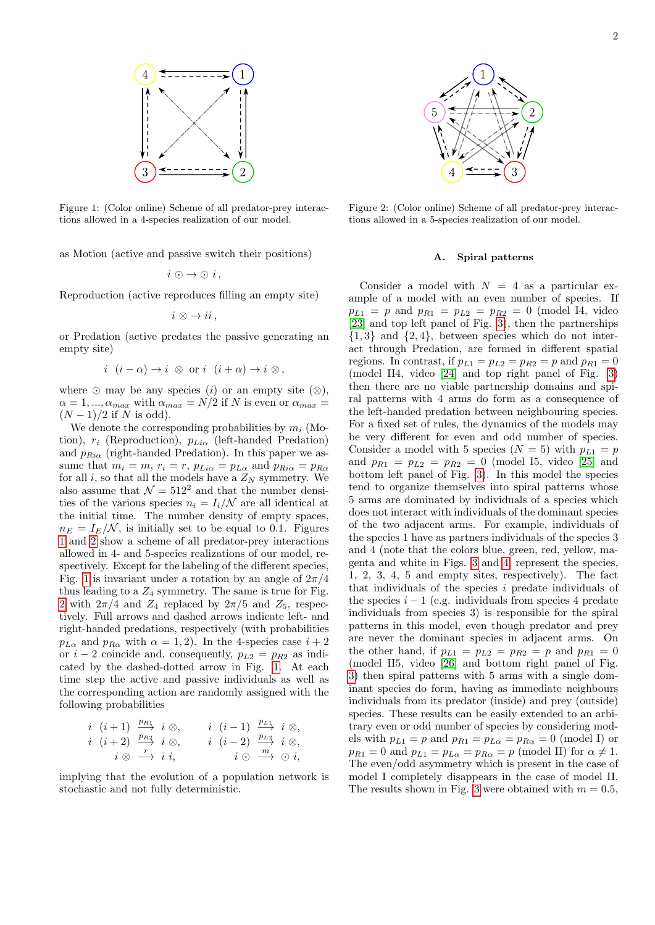

<span id="page-1-0"></span>Figure 1: (Color online) Scheme of all predator-prey interactions allowed in a 4-species realization of our model.

as Motion (active and passive switch their positions)

$$
i \odot \rightarrow \odot i,
$$

Reproduction (active reproduces filling an empty site)

$$
i\,\otimes\,\to ii\,,
$$

or Predation (active predates the passive generating an empty site)

$$
i \ (i - \alpha) \to i \ \otimes \text{ or } i \ (i + \alpha) \to i \ \otimes \,
$$

where  $\odot$  may be any species (i) or an empty site  $(\otimes)$ ,  $\alpha = 1, ..., \alpha_{max}$  with  $\alpha_{max} = N/2$  if N is even or  $\alpha_{max} =$  $(N-1)/2$  if N is odd).

We denote the corresponding probabilities by  $m_i$  (Motion),  $r_i$  (Reproduction),  $p_{Li\alpha}$  (left-handed Predation) and  $p_{Ri\alpha}$  (right-handed Predation). In this paper we assume that  $m_i = m$ ,  $r_i = r$ ,  $p_{Li\alpha} = p_{L\alpha}$  and  $p_{Ri\alpha} = p_{R\alpha}$ for all i, so that all the models have a  $Z_N$  symmetry. We also assume that  $\mathcal{N} = 512^2$  and that the number densities of the various species  $n_i = I_i/N$  are all identical at the initial time. The number density of empty spaces,  $n_E = I_E/N$ , is initially set to be equal to 0.1. Figures [1](#page-1-0) and [2](#page-1-1) show a scheme of all predator-prey interactions allowed in 4- and 5-species realizations of our model, respectively. Except for the labeling of the different species, Fig. [1](#page-1-0) is invariant under a rotation by an angle of  $2\pi/4$ thus leading to a  $Z_4$  symmetry. The same is true for Fig. [2](#page-1-1) with  $2\pi/4$  and  $Z_4$  replaced by  $2\pi/5$  and  $Z_5$ , respectively. Full arrows and dashed arrows indicate left- and right-handed predations, respectively (with probabilities  $p_{L\alpha}$  and  $p_{R\alpha}$  with  $\alpha = 1, 2$ ). In the 4-species case  $i + 2$ or  $i - 2$  coincide and, consequently,  $p_{L2} = p_{R2}$  as indicated by the dashed-dotted arrow in Fig. [1.](#page-1-0) At each time step the active and passive individuals as well as the corresponding action are randomly assigned with the following probabilities

$$
\begin{array}{cccccc}\ni & (i+1) & \frac{p_{R1}}{p} & i \otimes, & i & (i-1) & \frac{p_{L1}}{p} & i \otimes, \\
i & (i+2) & \frac{p_{R2}}{p} & i \otimes, & i & (i-2) & \frac{p_{L2}}{p} & i \otimes, \\
i & \otimes & \xrightarrow{r} & i & i, & i \odot & \xrightarrow{m} & \odot i,\n\end{array}
$$

implying that the evolution of a population network is stochastic and not fully deterministic.



<span id="page-1-1"></span>Figure 2: (Color online) Scheme of all predator-prey interactions allowed in a 5-species realization of our model.

### Spiral patterns

Consider a model with  $N = 4$  as a particular example of a model with an even number of species. If  $p_{L1} = p$  and  $p_{R1} = p_{L2} = p_{R2} = 0$  (model I4, video [\[23\]](#page-4-10) and top left panel of Fig. [3\)](#page-2-0), then the partnerships  $\{1, 3\}$  and  $\{2, 4\}$ , between species which do not interact through Predation, are formed in different spatial regions. In contrast, if  $p_{L1} = p_{L2} = p_{R2} = p$  and  $p_{R1} = 0$ (model II4, video [\[24\]](#page-5-0) and top right panel of Fig. [3\)](#page-2-0) then there are no viable partnership domains and spiral patterns with 4 arms do form as a consequence of the left-handed predation between neighbouring species. For a fixed set of rules, the dynamics of the models may be very different for even and odd number of species. Consider a model with 5 species  $(N = 5)$  with  $p_{L1} = p$ and  $p_{R1} = p_{L2} = p_{R2} = 0$  (model 15, video [\[25\]](#page-5-1) and bottom left panel of Fig. [3\)](#page-2-0). In this model the species tend to organize themselves into spiral patterns whose 5 arms are dominated by individuals of a species which does not interact with individuals of the dominant species of the two adjacent arms. For example, individuals of the species 1 have as partners individuals of the species 3 and 4 (note that the colors blue, green, red, yellow, magenta and white in Figs. [3](#page-2-0) and [4,](#page-2-1) represent the species, 1, 2, 3, 4, 5 and empty sites, respectively). The fact that individuals of the species  $i$  predate individuals of the species  $i - 1$  (e.g. individuals from species 4 predate individuals from species 3) is responsible for the spiral patterns in this model, even though predator and prey are never the dominant species in adjacent arms. On the other hand, if  $p_{L1} = p_{L2} = p_{R2} = p$  and  $p_{R1} = 0$ (model II5, video [\[26\]](#page-5-2) and bottom right panel of Fig. [3\)](#page-2-0) then spiral patterns with 5 arms with a single dominant species do form, having as immediate neighbours individuals from its predator (inside) and prey (outside) species. These results can be easily extended to an arbitrary even or odd number of species by considering models with  $p_{L1} = p$  and  $p_{R1} = p_{L\alpha} = p_{R\alpha} = 0$  (model I) or  $p_{R1} = 0$  and  $p_{L1} = p_{L\alpha} = p_{R\alpha} = p$  (model II) for  $\alpha \neq 1$ . The even/odd asymmetry which is present in the case of model I completely disappears in the case of model II. The results shown in Fig. [3](#page-2-0) were obtained with  $m = 0.5$ .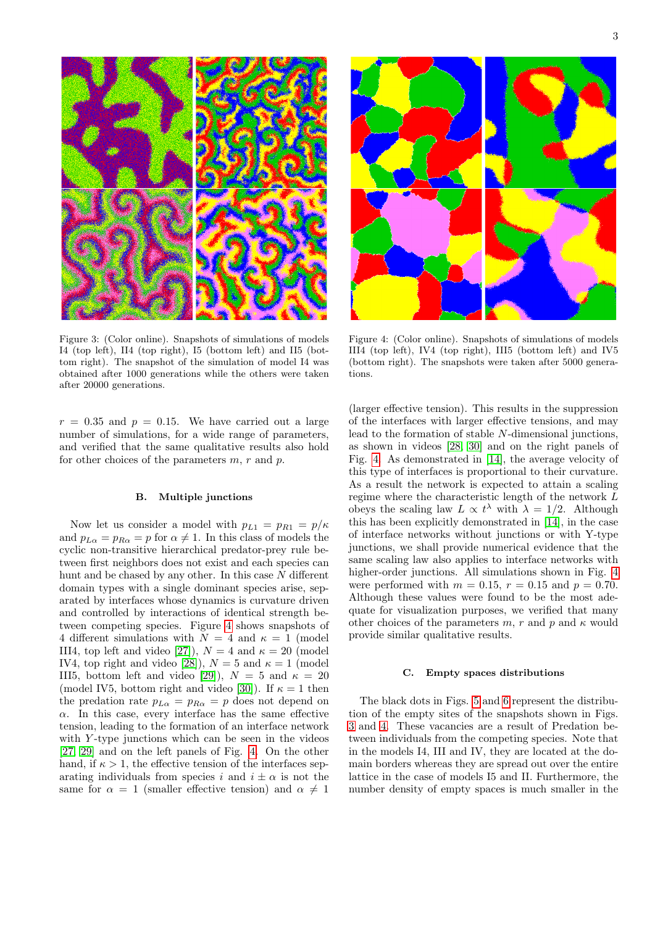<span id="page-2-1"></span>Figure 4: (Color online). Snapshots of simulations of models III4 (top left), IV4 (top right), III5 (bottom left) and IV5 (bottom right). The snapshots were taken after 5000 generations.

(larger effective tension). This results in the suppression of the interfaces with larger effective tensions, and may lead to the formation of stable N-dimensional junctions, as shown in videos [\[28,](#page-5-4) [30\]](#page-5-6) and on the right panels of Fig. [4.](#page-2-1) As demonstrated in [\[14\]](#page-4-6), the average velocity of this type of interfaces is proportional to their curvature. As a result the network is expected to attain a scaling regime where the characteristic length of the network L obeys the scaling law  $L \propto t^{\lambda}$  with  $\lambda = 1/2$ . Although this has been explicitly demonstrated in [\[14\]](#page-4-6), in the case of interface networks without junctions or with Y-type junctions, we shall provide numerical evidence that the same scaling law also applies to interface networks with higher-order junctions. All simulations shown in Fig. [4](#page-2-1) were performed with  $m = 0.15$ ,  $r = 0.15$  and  $p = 0.70$ . Although these values were found to be the most adequate for visualization purposes, we verified that many other choices of the parameters m, r and p and  $\kappa$  would provide similar qualitative results.

# C. Empty spaces distributions

The black dots in Figs. [5](#page-3-0) and [6](#page-3-1) represent the distribution of the empty sites of the snapshots shown in Figs. [3](#page-2-0) and [4.](#page-2-1) These vacancies are a result of Predation between individuals from the competing species. Note that in the models I4, III and IV, they are located at the domain borders whereas they are spread out over the entire lattice in the case of models I5 and II. Furthermore, the number density of empty spaces is much smaller in the

<span id="page-2-0"></span>Figure 3: (Color online). Snapshots of simulations of models I4 (top left), II4 (top right), I5 (bottom left) and II5 (bottom right). The snapshot of the simulation of model I4 was obtained after 1000 generations while the others were taken after 20000 generations.

 $r = 0.35$  and  $p = 0.15$ . We have carried out a large number of simulations, for a wide range of parameters, and verified that the same qualitative results also hold for other choices of the parameters  $m, r$  and  $p$ .

### B. Multiple junctions

Now let us consider a model with  $p_{L1} = p_{R1} = p/\kappa$ and  $p_{L\alpha} = p_{R\alpha} = p$  for  $\alpha \neq 1$ . In this class of models the cyclic non-transitive hierarchical predator-prey rule between first neighbors does not exist and each species can hunt and be chased by any other. In this case N different domain types with a single dominant species arise, separated by interfaces whose dynamics is curvature driven and controlled by interactions of identical strength between competing species. Figure [4](#page-2-1) shows snapshots of 4 different simulations with  $N = 4$  and  $\kappa = 1$  (model III4, top left and video [\[27\]](#page-5-3)),  $N = 4$  and  $\kappa = 20$  (model IV4, top right and video [\[28\]](#page-5-4)),  $N = 5$  and  $\kappa = 1$  (model III5, bottom left and video [\[29\]](#page-5-5)),  $N = 5$  and  $\kappa = 20$ (model IV5, bottom right and video [\[30\]](#page-5-6)). If  $\kappa = 1$  then the predation rate  $p_{L\alpha} = p_{R\alpha} = p$  does not depend on  $\alpha$ . In this case, every interface has the same effective tension, leading to the formation of an interface network with  $Y$ -type junctions which can be seen in the videos [\[27,](#page-5-3) [29\]](#page-5-5) and on the left panels of Fig. [4.](#page-2-1) On the other hand, if  $\kappa > 1$ , the effective tension of the interfaces separating individuals from species i and  $i \pm \alpha$  is not the same for  $\alpha = 1$  (smaller effective tension) and  $\alpha \neq 1$ 



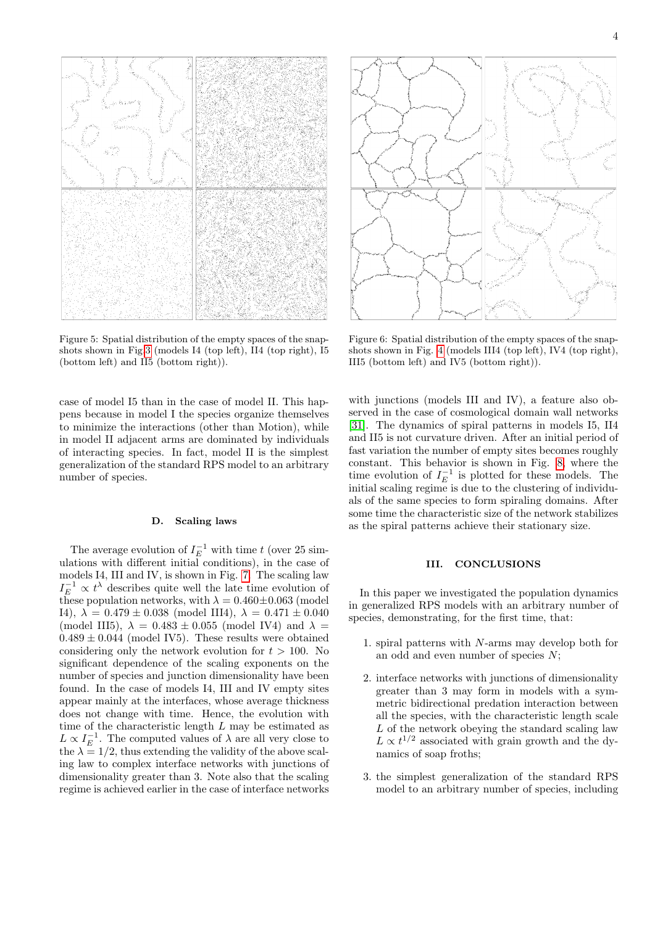<span id="page-3-0"></span>Figure 5: Spatial distribution of the empty spaces of the snapshots shown in Fig[.3](#page-2-0) (models I4 (top left), II4 (top right), I5 (bottom left) and II5 (bottom right)).

case of model I5 than in the case of model II. This happens because in model I the species organize themselves to minimize the interactions (other than Motion), while in model II adjacent arms are dominated by individuals of interacting species. In fact, model II is the simplest generalization of the standard RPS model to an arbitrary number of species.

### D. Scaling laws

The average evolution of  $I_E^{-1}$  with time t (over 25 simulations with different initial conditions), in the case of models I4, III and IV, is shown in Fig. [7.](#page-4-11) The scaling law  $I_E^{-1} \propto t^{\lambda}$  describes quite well the late time evolution of these population networks, with  $\lambda = 0.460 \pm 0.063$  (model I4),  $\lambda = 0.479 \pm 0.038$  (model III4),  $\lambda = 0.471 \pm 0.040$ (model III5),  $\lambda = 0.483 \pm 0.055$  (model IV4) and  $\lambda =$  $0.489 \pm 0.044$  (model IV5). These results were obtained considering only the network evolution for  $t > 100$ . No significant dependence of the scaling exponents on the number of species and junction dimensionality have been found. In the case of models I4, III and IV empty sites appear mainly at the interfaces, whose average thickness does not change with time. Hence, the evolution with time of the characteristic length  $L$  may be estimated as  $L \propto I_E^{-1}$ . The computed values of  $\lambda$  are all very close to the  $\lambda = 1/2$ , thus extending the validity of the above scaling law to complex interface networks with junctions of dimensionality greater than 3. Note also that the scaling regime is achieved earlier in the case of interface networks



<span id="page-3-1"></span>Figure 6: Spatial distribution of the empty spaces of the snapshots shown in Fig. [4](#page-2-1) (models III4 (top left), IV4 (top right), III5 (bottom left) and IV5 (bottom right)).

with junctions (models III and IV), a feature also observed in the case of cosmological domain wall networks [\[31\]](#page-5-7). The dynamics of spiral patterns in models I5, II4 and II5 is not curvature driven. After an initial period of fast variation the number of empty sites becomes roughly constant. This behavior is shown in Fig. [8,](#page-4-12) where the time evolution of  $I_E^{-1}$  is plotted for these models. The initial scaling regime is due to the clustering of individuals of the same species to form spiraling domains. After some time the characteristic size of the network stabilizes as the spiral patterns achieve their stationary size.

## III. CONCLUSIONS

In this paper we investigated the population dynamics in generalized RPS models with an arbitrary number of species, demonstrating, for the first time, that:

- 1. spiral patterns with N-arms may develop both for an odd and even number of species  $N$ ;
- 2. interface networks with junctions of dimensionality greater than 3 may form in models with a symmetric bidirectional predation interaction between all the species, with the characteristic length scale L of the network obeying the standard scaling law  $L \propto t^{1/2}$  associated with grain growth and the dynamics of soap froths;
- 3. the simplest generalization of the standard RPS model to an arbitrary number of species, including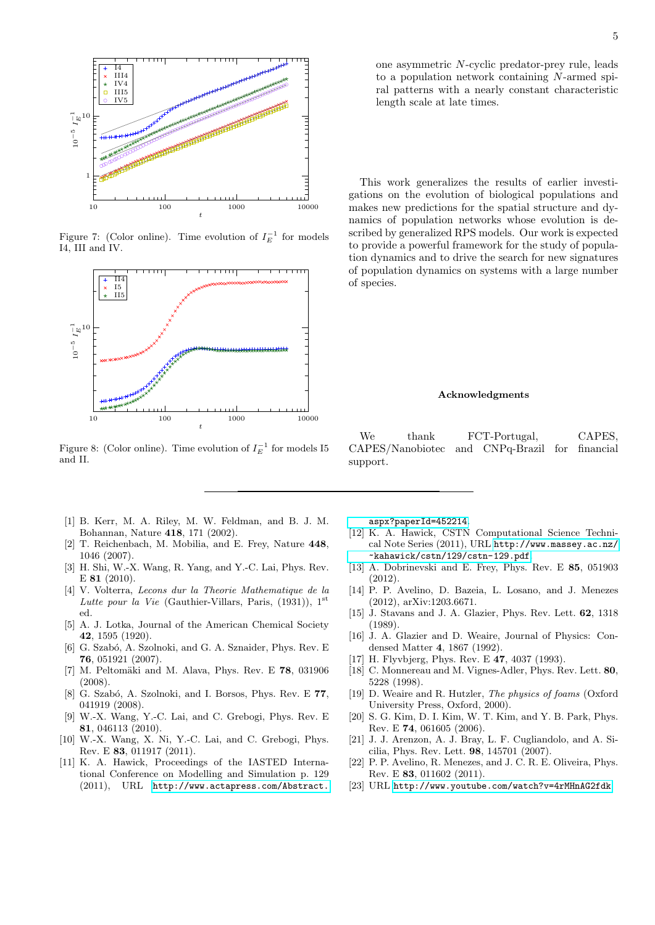

<span id="page-4-11"></span>Figure 7: (Color online). Time evolution of  $I_E^{-1}$  for models I4, III and IV.



<span id="page-4-12"></span>Figure 8: (Color online). Time evolution of  $I_E^{-1}$  for models I5 and II.

- <span id="page-4-0"></span>[1] B. Kerr, M. A. Riley, M. W. Feldman, and B. J. M. Bohannan, Nature 418, 171 (2002).
- <span id="page-4-4"></span>[2] T. Reichenbach, M. Mobilia, and E. Frey, Nature 448, 1046 (2007).
- <span id="page-4-1"></span>[3] H. Shi, W.-X. Wang, R. Yang, and Y.-C. Lai, Phys. Rev. E 81 (2010).
- <span id="page-4-2"></span>[4] V. Volterra, Lecons dur la Theorie Mathematique de la Lutte pour la Vie (Gauthier-Villars, Paris, (1931)), 1<sup>st</sup> ed.
- <span id="page-4-3"></span>[5] A. J. Lotka, Journal of the American Chemical Society 42, 1595 (1920).
- <span id="page-4-5"></span>[6] G. Szab´o, A. Szolnoki, and G. A. Sznaider, Phys. Rev. E 76, 051921 (2007).
- [7] M. Peltomäki and M. Alava, Phys. Rev. E  $78$ , 031906 (2008).
- [8] G. Szabó, A. Szolnoki, and I. Borsos, Phys. Rev. E 77, 041919 (2008).
- [9] W.-X. Wang, Y.-C. Lai, and C. Grebogi, Phys. Rev. E 81, 046113 (2010).
- [10] W.-X. Wang, X. Ni, Y.-C. Lai, and C. Grebogi, Phys. Rev. E 83, 011917 (2011).
- <span id="page-4-7"></span>[11] K. A. Hawick, Proceedings of the IASTED International Conference on Modelling and Simulation p. 129 (2011), URL [http://www.actapress.com/Abstract.](http://www.actapress.com/Abstract.aspx?paperId=452214)

[aspx?paperId=452214](http://www.actapress.com/Abstract.aspx?paperId=452214).

- [12] K. A. Hawick, CSTN Computational Science Technical Note Series (2011), URL [http://www.massey.ac.nz/](http://www.massey.ac.nz/~kahawick/cstn/129/cstn-129.pdf) [~kahawick/cstn/129/cstn-129.pdf](http://www.massey.ac.nz/~kahawick/cstn/129/cstn-129.pdf).
- [13] A. Dobrinevski and E. Frey, Phys. Rev. E 85, 051903 (2012).
- <span id="page-4-6"></span>[14] P. P. Avelino, D. Bazeia, L. Losano, and J. Menezes (2012), arXiv:1203.6671.
- <span id="page-4-8"></span>[15] J. Stavans and J. A. Glazier, Phys. Rev. Lett. 62, 1318 (1989).
- [16] J. A. Glazier and D. Weaire, Journal of Physics: Condensed Matter 4, 1867 (1992).
- [17] H. Flyvbjerg, Phys. Rev. E 47, 4037 (1993).
- [18] C. Monnereau and M. Vignes-Adler, Phys. Rev. Lett. 80, 5228 (1998).
- [19] D. Weaire and R. Hutzler, The physics of foams (Oxford University Press, Oxford, 2000).
- [20] S. G. Kim, D. I. Kim, W. T. Kim, and Y. B. Park, Phys. Rev. E 74, 061605 (2006).
- [21] J. J. Arenzon, A. J. Bray, L. F. Cugliandolo, and A. Sicilia, Phys. Rev. Lett. 98, 145701 (2007).
- <span id="page-4-9"></span>[22] P. P. Avelino, R. Menezes, and J. C. R. E. Oliveira, Phys. Rev. E 83, 011602 (2011).
- <span id="page-4-10"></span>[23] URL <http://www.youtube.com/watch?v=4rMHnAG2fdk>.

one asymmetric N-cyclic predator-prey rule, leads to a population network containing N-armed spiral patterns with a nearly constant characteristic length scale at late times.

This work generalizes the results of earlier investigations on the evolution of biological populations and makes new predictions for the spatial structure and dynamics of population networks whose evolution is described by generalized RPS models. Our work is expected to provide a powerful framework for the study of population dynamics and to drive the search for new signatures of population dynamics on systems with a large number of species.

# Acknowledgments

We thank FCT-Portugal, CAPES, CAPES/Nanobiotec and CNPq-Brazil for financial support.